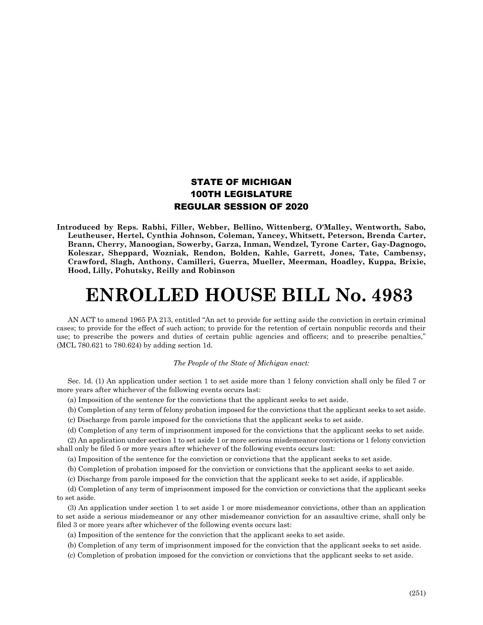## STATE OF MICHIGAN 100TH LEGISLATURE REGULAR SESSION OF 2020

**Introduced by Reps. Rabhi, Filler, Webber, Bellino, Wittenberg, O'Malley, Wentworth, Sabo, Leutheuser, Hertel, Cynthia Johnson, Coleman, Yancey, Whitsett, Peterson, Brenda Carter, Brann, Cherry, Manoogian, Sowerby, Garza, Inman, Wendzel, Tyrone Carter, Gay-Dagnogo, Koleszar, Sheppard, Wozniak, Rendon, Bolden, Kahle, Garrett, Jones, Tate, Cambensy, Crawford, Slagh, Anthony, Camilleri, Guerra, Mueller, Meerman, Hoadley, Kuppa, Brixie, Hood, Lilly, Pohutsky, Reilly and Robinson**

## **ENROLLED HOUSE BILL No. 4983**

AN ACT to amend 1965 PA 213, entitled "An act to provide for setting aside the conviction in certain criminal cases; to provide for the effect of such action; to provide for the retention of certain nonpublic records and their use; to prescribe the powers and duties of certain public agencies and officers; and to prescribe penalties," (MCL 780.621 to 780.624) by adding section 1d.

## *The People of the State of Michigan enact:*

Sec. 1d. (1) An application under section 1 to set aside more than 1 felony conviction shall only be filed 7 or more years after whichever of the following events occurs last:

(a) Imposition of the sentence for the convictions that the applicant seeks to set aside.

(b) Completion of any term of felony probation imposed for the convictions that the applicant seeks to set aside.

(c) Discharge from parole imposed for the convictions that the applicant seeks to set aside.

(d) Completion of any term of imprisonment imposed for the convictions that the applicant seeks to set aside.

(2) An application under section 1 to set aside 1 or more serious misdemeanor convictions or 1 felony conviction shall only be filed 5 or more years after whichever of the following events occurs last:

(a) Imposition of the sentence for the conviction or convictions that the applicant seeks to set aside.

(b) Completion of probation imposed for the conviction or convictions that the applicant seeks to set aside.

(c) Discharge from parole imposed for the conviction that the applicant seeks to set aside, if applicable.

(d) Completion of any term of imprisonment imposed for the conviction or convictions that the applicant seeks to set aside.

(3) An application under section 1 to set aside 1 or more misdemeanor convictions, other than an application to set aside a serious misdemeanor or any other misdemeanor conviction for an assaultive crime, shall only be filed 3 or more years after whichever of the following events occurs last:

(a) Imposition of the sentence for the conviction that the applicant seeks to set aside.

(b) Completion of any term of imprisonment imposed for the conviction that the applicant seeks to set aside.

(c) Completion of probation imposed for the conviction or convictions that the applicant seeks to set aside.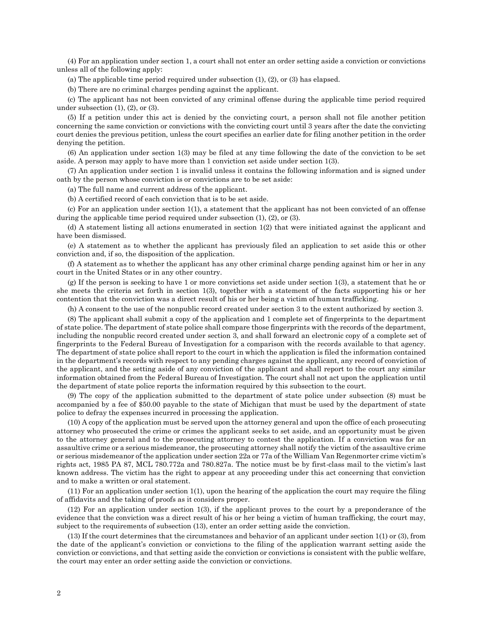(4) For an application under section 1, a court shall not enter an order setting aside a conviction or convictions unless all of the following apply:

(a) The applicable time period required under subsection (1), (2), or (3) has elapsed.

(b) There are no criminal charges pending against the applicant.

(c) The applicant has not been convicted of any criminal offense during the applicable time period required under subsection  $(1)$ ,  $(2)$ , or  $(3)$ .

(5) If a petition under this act is denied by the convicting court, a person shall not file another petition concerning the same conviction or convictions with the convicting court until 3 years after the date the convicting court denies the previous petition, unless the court specifies an earlier date for filing another petition in the order denying the petition.

(6) An application under section 1(3) may be filed at any time following the date of the conviction to be set aside. A person may apply to have more than 1 conviction set aside under section 1(3).

(7) An application under section 1 is invalid unless it contains the following information and is signed under oath by the person whose conviction is or convictions are to be set aside:

(a) The full name and current address of the applicant.

(b) A certified record of each conviction that is to be set aside.

(c) For an application under section 1(1), a statement that the applicant has not been convicted of an offense during the applicable time period required under subsection (1), (2), or (3).

(d) A statement listing all actions enumerated in section 1(2) that were initiated against the applicant and have been dismissed.

(e) A statement as to whether the applicant has previously filed an application to set aside this or other conviction and, if so, the disposition of the application.

(f) A statement as to whether the applicant has any other criminal charge pending against him or her in any court in the United States or in any other country.

(g) If the person is seeking to have 1 or more convictions set aside under section 1(3), a statement that he or she meets the criteria set forth in section 1(3), together with a statement of the facts supporting his or her contention that the conviction was a direct result of his or her being a victim of human trafficking.

(h) A consent to the use of the nonpublic record created under section 3 to the extent authorized by section 3.

(8) The applicant shall submit a copy of the application and 1 complete set of fingerprints to the department of state police. The department of state police shall compare those fingerprints with the records of the department, including the nonpublic record created under section 3, and shall forward an electronic copy of a complete set of fingerprints to the Federal Bureau of Investigation for a comparison with the records available to that agency. The department of state police shall report to the court in which the application is filed the information contained in the department's records with respect to any pending charges against the applicant, any record of conviction of the applicant, and the setting aside of any conviction of the applicant and shall report to the court any similar information obtained from the Federal Bureau of Investigation. The court shall not act upon the application until the department of state police reports the information required by this subsection to the court.

(9) The copy of the application submitted to the department of state police under subsection (8) must be accompanied by a fee of \$50.00 payable to the state of Michigan that must be used by the department of state police to defray the expenses incurred in processing the application.

(10) A copy of the application must be served upon the attorney general and upon the office of each prosecuting attorney who prosecuted the crime or crimes the applicant seeks to set aside, and an opportunity must be given to the attorney general and to the prosecuting attorney to contest the application. If a conviction was for an assaultive crime or a serious misdemeanor, the prosecuting attorney shall notify the victim of the assaultive crime or serious misdemeanor of the application under section 22a or 77a of the William Van Regenmorter crime victim's rights act, 1985 PA 87, MCL 780.772a and 780.827a. The notice must be by first-class mail to the victim's last known address. The victim has the right to appear at any proceeding under this act concerning that conviction and to make a written or oral statement.

(11) For an application under section 1(1), upon the hearing of the application the court may require the filing of affidavits and the taking of proofs as it considers proper.

(12) For an application under section 1(3), if the applicant proves to the court by a preponderance of the evidence that the conviction was a direct result of his or her being a victim of human trafficking, the court may, subject to the requirements of subsection (13), enter an order setting aside the conviction.

(13) If the court determines that the circumstances and behavior of an applicant under section 1(1) or (3), from the date of the applicant's conviction or convictions to the filing of the application warrant setting aside the conviction or convictions, and that setting aside the conviction or convictions is consistent with the public welfare, the court may enter an order setting aside the conviction or convictions.